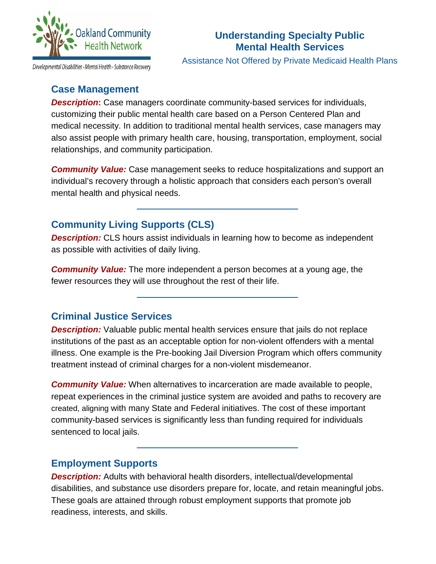

# **Understanding Specialty Public Mental Health Services**

Assistance Not Offered by Private Medicaid Health Plans

# **Case Management**

**Description:** Case managers coordinate community-based services for individuals, customizing their public mental health care based on a Person Centered Plan and medical necessity. In addition to traditional mental health services, case managers may also assist people with primary health care, housing, transportation, employment, social relationships, and community participation.

*Community Value:* Case management seeks to reduce hospitalizations and support an individual's recovery through a holistic approach that considers each person's overall mental health and physical needs.

# **Community Living Supports (CLS)**

**Description:** CLS hours assist individuals in learning how to become as independent as possible with activities of daily living.

*Community Value:* The more independent a person becomes at a young age, the fewer resources they will use throughout the rest of their life.

# **Criminal Justice Services**

**Description:** Valuable public mental health services ensure that jails do not replace institutions of the past as an acceptable option for non-violent offenders with a mental illness. One example is the Pre-booking Jail Diversion Program which offers community treatment instead of criminal charges for a non-violent misdemeanor.

**Community Value:** When alternatives to incarceration are made available to people, repeat experiences in the criminal justice system are avoided and paths to recovery are created, aligning with many State and Federal initiatives. The cost of these important community-based services is significantly less than funding required for individuals sentenced to local jails.

# **Employment Supports**

**Description:** Adults with behavioral health disorders, intellectual/developmental disabilities, and substance use disorders prepare for, locate, and retain meaningful jobs**.**  These goals are attained through robust employment supports that promote job readiness, interests, and skills.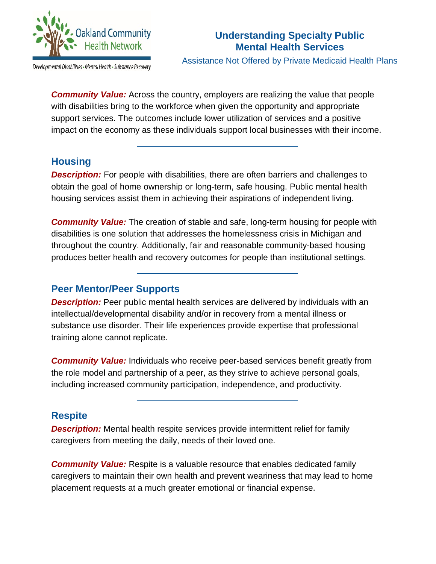

# **Understanding Specialty Public Mental Health Services**

Developmental Disabilities - Mental Health - Substance Recovery

Assistance Not Offered by Private Medicaid Health Plans

**Community Value:** Across the country, employers are realizing the value that people with disabilities bring to the workforce when given the opportunity and appropriate support services. The outcomes include lower utilization of services and a positive impact on the economy as these individuals support local businesses with their income.

# **Housing**

**Description:** For people with disabilities, there are often barriers and challenges to obtain the goal of home ownership or long-term, safe housing. Public mental health housing services assist them in achieving their aspirations of independent living.

*Community Value:* The creation of stable and safe, long-term housing for people with disabilities is one solution that addresses the homelessness crisis in Michigan and throughout the country. Additionally, fair and reasonable community-based housing produces better health and recovery outcomes for people than institutional settings.

# **Peer Mentor/Peer Supports**

**Description:** Peer public mental health services are delivered by individuals with an intellectual/developmental disability and/or in recovery from a mental illness or substance use disorder. Their life experiences provide expertise that professional training alone cannot replicate.

**Community Value:** Individuals who receive peer-based services benefit greatly from the role model and partnership of a peer, as they strive to achieve personal goals, including increased community participation, independence, and productivity.

# **Respite**

*Description:* Mental health respite services provide intermittent relief for family caregivers from meeting the daily, needs of their loved one.

*Community Value:* Respite is a valuable resource that enables dedicated family caregivers to maintain their own health and prevent weariness that may lead to home placement requests at a much greater emotional or financial expense.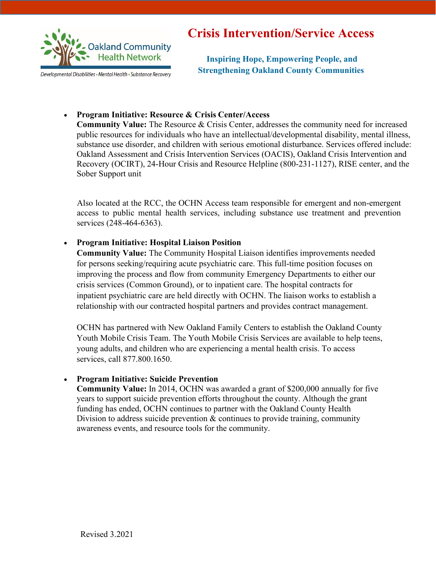

Developmental Disabilities • Mental Health • Substance Recovery

# **Crisis Intervention/Service Access**

**Inspiring Hope, Empowering People, and Strengthening Oakland County Communities**

### • **Program Initiative: Resource & Crisis Center/Access**

**Community Value:** The Resource & Crisis Center, addresses the community need for increased public resources for individuals who have an intellectual/developmental disability, mental illness, substance use disorder, and children with serious emotional disturbance. Services offered include: Oakland Assessment and Crisis Intervention Services (OACIS), Oakland Crisis Intervention and Recovery (OCIRT), 24-Hour Crisis and Resource Helpline (800-231-1127), RISE center, and the Sober Support unit

Also located at the RCC, the OCHN Access team responsible for emergent and non-emergent access to public mental health services, including substance use treatment and prevention services (248-464-6363).

# • **Program Initiative: Hospital Liaison Position**

**Community Value:** The Community Hospital Liaison identifies improvements needed for persons seeking/requiring acute psychiatric care. This full-time position focuses on improving the process and flow from community Emergency Departments to either our crisis services (Common Ground), or to inpatient care. The hospital contracts for inpatient psychiatric care are held directly with OCHN. The liaison works to establish a relationship with our contracted hospital partners and provides contract management.

OCHN has partnered with New Oakland Family Centers to establish the Oakland County Youth Mobile Crisis Team. The Youth Mobile Crisis Services are available to help teens, young adults, and children who are experiencing a mental health crisis. To access services, call 877.800.1650.

### • **Program Initiative: Suicide Prevention**

**Community Value:** In 2014, OCHN was awarded a grant of \$200,000 annually for five years to support suicide prevention efforts throughout the county. Although the grant funding has ended, OCHN continues to partner with the Oakland County Health Division to address suicide prevention  $\&$  continues to provide training, community awareness events, and resource tools for the community.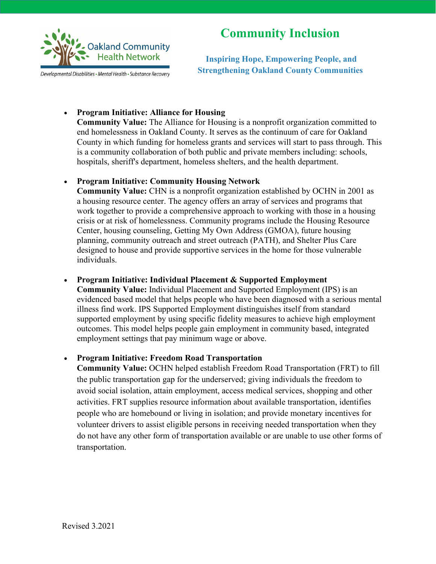

Developmental Disabilities - Mental Health - Substance Recovery

# **Community Inclusion**

**Inspiring Hope, Empowering People, and Strengthening Oakland County Communities**

### • **Program Initiative: Alliance for Housing**

**Community Value:** The Alliance for Housing is a nonprofit organization committed to end homelessness in Oakland County. It serves as the continuum of care for Oakland County in which funding for homeless grants and services will start to pass through. This is a community collaboration of both public and private members including: schools, hospitals, sheriff's department, homeless shelters, and the health department.

### • **Program Initiative: Community Housing Network**

**Community Value:** CHN is a nonprofit organization established by OCHN in 2001 as a housing resource center. The agency offers an array of services and programs that work together to provide a comprehensive approach to working with those in a housing crisis or at risk of homelessness. Community programs include the Housing Resource Center, housing counseling, Getting My Own Address (GMOA), future housing planning, community outreach and street outreach (PATH), and Shelter Plus Care designed to house and provide supportive services in the home for those vulnerable individuals.

### • **Program Initiative: Individual Placement & Supported Employment**

**Community Value:** Individual Placement and Supported Employment (IPS) is an evidenced based model that helps people who have been diagnosed with a serious mental illness find work. IPS Supported Employment distinguishes itself from standard supported employment by using specific fidelity measures to achieve high employment outcomes. This model helps people gain employment in community based, integrated employment settings that pay minimum wage or above.

# • **Program Initiative: Freedom Road Transportation**

**Community Value:** OCHN helped establish Freedom Road Transportation (FRT) to fill the public transportation gap for the underserved; giving individuals the freedom to avoid social isolation, attain employment, access medical services, shopping and other activities. FRT supplies resource information about available transportation, identifies people who are homebound or living in isolation; and provide monetary incentives for volunteer drivers to assist eligible persons in receiving needed transportation when they do not have any other form of transportation available or are unable to use other forms of transportation.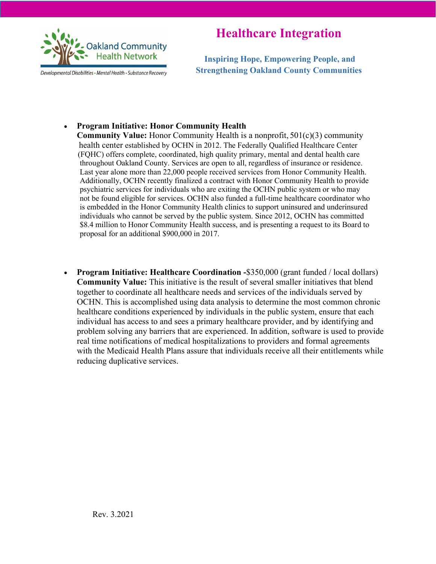

Developmental Disabilities • Mental Health • Substance Recovery

# **Healthcare Integration**

**Inspiring Hope, Empowering People, and Strengthening Oakland County Communities**

# • **Program Initiative: Honor Community Health**

 **Community Value:** Honor Community Health is a nonprofit, 501(c)(3) community health center established by OCHN in 2012. The Federally Qualified Healthcare Center (FQHC) offers complete, coordinated, high quality primary, mental and dental health care throughout Oakland County. Services are open to all, regardless of insurance or residence. Last year alone more than 22,000 people received services from Honor Community Health. Additionally, OCHN recently finalized a contract with Honor Community Health to provide psychiatric services for individuals who are exiting the OCHN public system or who may not be found eligible for services. OCHN also funded a full-time healthcare coordinator who is embedded in the Honor Community Health clinics to support uninsured and underinsured individuals who cannot be served by the public system. Since 2012, OCHN has committed \$8.4 million to Honor Community Health success, and is presenting a request to its Board to proposal for an additional \$900,000 in 2017.

• **Program Initiative: Healthcare Coordination -**\$350,000 (grant funded / local dollars) **Community Value:** This initiative is the result of several smaller initiatives that blend together to coordinate all healthcare needs and services of the individuals served by OCHN. This is accomplished using data analysis to determine the most common chronic healthcare conditions experienced by individuals in the public system, ensure that each individual has access to and sees a primary healthcare provider, and by identifying and problem solving any barriers that are experienced. In addition, software is used to provide real time notifications of medical hospitalizations to providers and formal agreements with the Medicaid Health Plans assure that individuals receive all their entitlements while reducing duplicative services.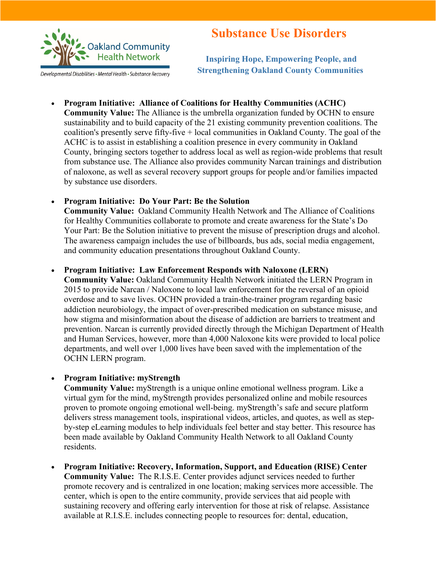

Developmental Disabilities - Mental Health - Substance Recovery

# **Substance Use Disorders**

**Inspiring Hope, Empowering People, and Strengthening Oakland County Communities**

• **Program Initiative: Alliance of Coalitions for Healthy Communities (ACHC) Community Value:** The Alliance is the umbrella organization funded by OCHN to ensure sustainability and to build capacity of the 21 existing community prevention coalitions. The coalition's presently serve fifty-five + local communities in Oakland County. The goal of the ACHC is to assist in establishing a coalition presence in every community in Oakland County, bringing sectors together to address local as well as region-wide problems that result from substance use. The Alliance also provides community Narcan trainings and distribution of naloxone, as well as several recovery support groups for people and/or families impacted by substance use disorders.

### • **Program Initiative: Do Your Part: Be the Solution**

**Community Value:** Oakland Community Health Network and The Alliance of Coalitions for Healthy Communities collaborate to promote and create awareness for the State's Do Your Part: Be the Solution initiative to prevent the misuse of prescription drugs and alcohol. The awareness campaign includes the use of billboards, bus ads, social media engagement, and community education presentations throughout Oakland County.

### • **Program Initiative: Law Enforcement Responds with Naloxone (LERN)**

**Community Value:** Oakland Community Health Network initiated the LERN Program in 2015 to provide Narcan / Naloxone to local law enforcement for the reversal of an opioid overdose and to save lives. OCHN provided a train-the-trainer program regarding basic addiction neurobiology, the impact of over-prescribed medication on substance misuse, and how stigma and misinformation about the disease of addiction are barriers to treatment and prevention. Narcan is currently provided directly through the Michigan Department of Health and Human Services, however, more than 4,000 Naloxone kits were provided to local police departments, and well over 1,000 lives have been saved with the implementation of the OCHN LERN program.

### • **Program Initiative: myStrength**

**Community Value:** myStrength is a unique online emotional wellness program. Like a virtual gym for the mind, myStrength provides personalized online and mobile resources proven to promote ongoing emotional well-being. myStrength's safe and secure platform delivers stress management tools, inspirational videos, articles, and quotes, as well as stepby-step eLearning modules to help individuals feel better and stay better. This resource has been made available by Oakland Community Health Network to all Oakland County residents.

• **Program Initiative: Recovery, Information, Support, and Education (RISE) Center Community Value:** The R.I.S.E. Center provides adjunct services needed to further promote recovery and is centralized in one location; making services more accessible. The center, which is open to the entire community, provide services that aid people with sustaining recovery and offering early intervention for those at risk of relapse. Assistance available at R.I.S.E. includes connecting people to resources for: dental, education,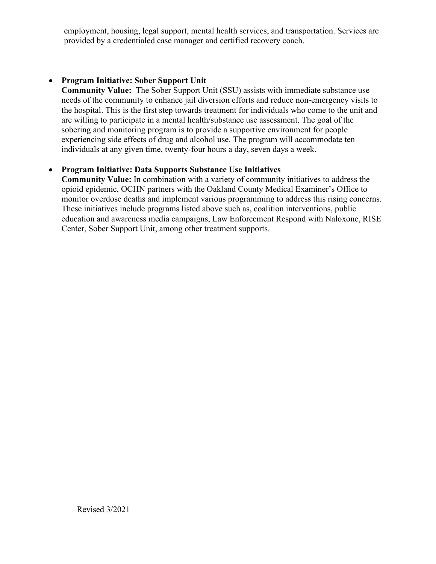employment, housing, legal support, mental health services, and transportation. Services are provided by a credentialed case manager and certified recovery coach.

# • **Program Initiative: Sober Support Unit**

**Community Value:** The Sober Support Unit (SSU) assists with immediate substance use needs of the community to enhance jail diversion efforts and reduce non-emergency visits to the hospital. This is the first step towards treatment for individuals who come to the unit and are willing to participate in a mental health/substance use assessment. The goal of the sobering and monitoring program is to provide a supportive environment for people experiencing side effects of drug and alcohol use. The program will accommodate ten individuals at any given time, twenty-four hours a day, seven days a week.

# • **Program Initiative: Data Supports Substance Use Initiatives**

**Community Value:** In combination with a variety of community initiatives to address the opioid epidemic, OCHN partners with the Oakland County Medical Examiner's Office to monitor overdose deaths and implement various programming to address this rising concerns. These initiatives include programs listed above such as, coalition interventions, public education and awareness media campaigns, Law Enforcement Respond with Naloxone, RISE Center, Sober Support Unit, among other treatment supports.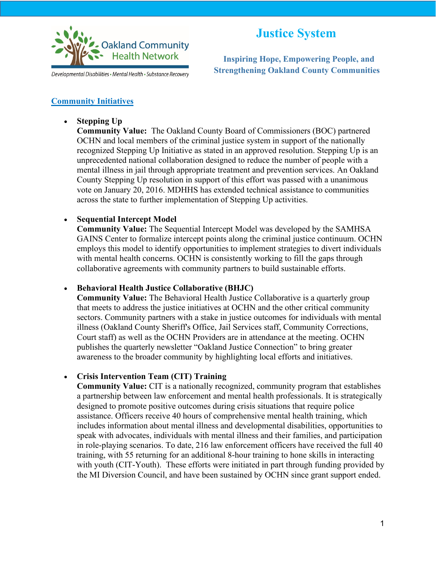

 **Inspiring Hope, Empowering People, and Developmental Disabilities** • Mental Health • Substance Recovery Strengthening Oakland County Communities

### **Community Initiatives**

• **Stepping Up**

**Community Value:** The Oakland County Board of Commissioners (BOC) partnered OCHN and local members of the criminal justice system in support of the nationally recognized Stepping Up Initiative as stated in an approved resolution. Stepping Up is an unprecedented national collaboration designed to reduce the number of people with a mental illness in jail through appropriate treatment and prevention services. An Oakland County Stepping Up resolution in support of this effort was passed with a unanimous vote on January 20, 2016. MDHHS has extended technical assistance to communities across the state to further implementation of Stepping Up activities.

# • **Sequential Intercept Model**

**Community Value:** The Sequential Intercept Model was developed by the SAMHSA GAINS Center to formalize intercept points along the criminal justice continuum. OCHN employs this model to identify opportunities to implement strategies to divert individuals with mental health concerns. OCHN is consistently working to fill the gaps through collaborative agreements with community partners to build sustainable efforts.

# • **Behavioral Health Justice Collaborative (BHJC)**

**Community Value:** The Behavioral Health Justice Collaborative is a quarterly group that meets to address the justice initiatives at OCHN and the other critical community sectors. Community partners with a stake in justice outcomes for individuals with mental illness (Oakland County Sheriff's Office, Jail Services staff, Community Corrections, Court staff) as well as the OCHN Providers are in attendance at the meeting. OCHN publishes the quarterly newsletter "Oakland Justice Connection" to bring greater awareness to the broader community by highlighting local efforts and initiatives.

# • **Crisis Intervention Team (CIT) Training**

**Community Value:** CIT is a nationally recognized, community program that establishes a partnership between law enforcement and mental health professionals. It is strategically designed to promote positive outcomes during crisis situations that require police assistance. Officers receive 40 hours of comprehensive mental health training, which includes information about mental illness and developmental disabilities, opportunities to speak with advocates, individuals with mental illness and their families, and participation in role-playing scenarios. To date, 216 law enforcement officers have received the full 40 training, with 55 returning for an additional 8-hour training to hone skills in interacting with youth (CIT-Youth). These efforts were initiated in part through funding provided by the MI Diversion Council, and have been sustained by OCHN since grant support ended.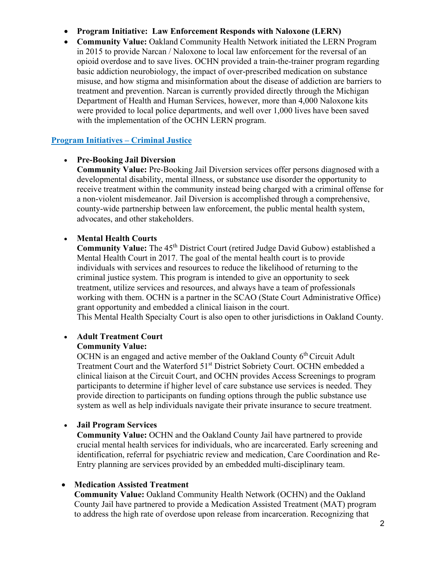# • **Program Initiative: Law Enforcement Responds with Naloxone (LERN)**

• **Community Value:** Oakland Community Health Network initiated the LERN Program in 2015 to provide Narcan / Naloxone to local law enforcement for the reversal of an opioid overdose and to save lives. OCHN provided a train-the-trainer program regarding basic addiction neurobiology, the impact of over-prescribed medication on substance misuse, and how stigma and misinformation about the disease of addiction are barriers to treatment and prevention. Narcan is currently provided directly through the Michigan Department of Health and Human Services, however, more than 4,000 Naloxone kits were provided to local police departments, and well over 1,000 lives have been saved with the implementation of the OCHN LERN program.

### **Program Initiatives – Criminal Justice**

### • **Pre-Booking Jail Diversion**

**Community Value:** Pre-Booking Jail Diversion services offer persons diagnosed with a developmental disability, mental illness, or substance use disorder the opportunity to receive treatment within the community instead being charged with a criminal offense for a non-violent misdemeanor. Jail Diversion is accomplished through a comprehensive, county-wide partnership between law enforcement, the public mental health system, advocates, and other stakeholders.

### • **Mental Health Courts**

**Community Value:** The 45<sup>th</sup> District Court (retired Judge David Gubow) established a Mental Health Court in 2017. The goal of the mental health court is to provide individuals with services and resources to reduce the likelihood of returning to the criminal justice system. This program is intended to give an opportunity to seek treatment, utilize services and resources, and always have a team of professionals working with them. OCHN is a partner in the SCAO (State Court Administrative Office) grant opportunity and embedded a clinical liaison in the court.

This Mental Health Specialty Court is also open to other jurisdictions in Oakland County.

# • **Adult Treatment Court**

# **Community Value:**

OCHN is an engaged and active member of the Oakland County  $6<sup>th</sup>$  Circuit Adult Treatment Court and the Waterford 51<sup>st</sup> District Sobriety Court. OCHN embedded a clinical liaison at the Circuit Court, and OCHN provides Access Screenings to program participants to determine if higher level of care substance use services is needed. They provide direction to participants on funding options through the public substance use system as well as help individuals navigate their private insurance to secure treatment.

### • **Jail Program Services**

**Community Value:** OCHN and the Oakland County Jail have partnered to provide crucial mental health services for individuals, who are incarcerated. Early screening and identification, referral for psychiatric review and medication, Care Coordination and Re-Entry planning are services provided by an embedded multi-disciplinary team.

### • **Medication Assisted Treatment**

**Community Value:** Oakland Community Health Network (OCHN) and the Oakland County Jail have partnered to provide a Medication Assisted Treatment (MAT) program to address the high rate of overdose upon release from incarceration. Recognizing that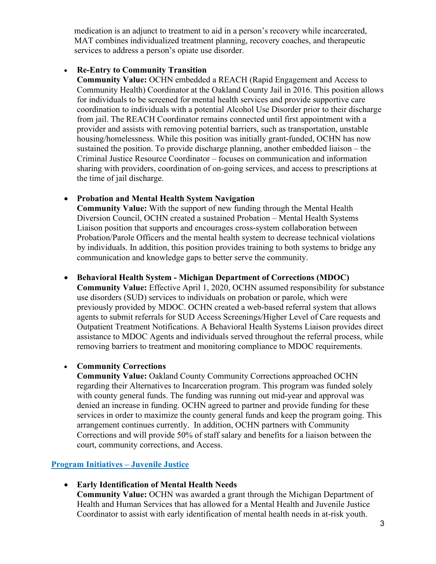medication is an adjunct to treatment to aid in a person's recovery while incarcerated, MAT combines individualized treatment planning, recovery coaches, and therapeutic services to address a person's opiate use disorder.

### • **Re-Entry to Community Transition**

**Community Value:** OCHN embedded a REACH (Rapid Engagement and Access to Community Health) Coordinator at the Oakland County Jail in 2016. This position allows for individuals to be screened for mental health services and provide supportive care coordination to individuals with a potential Alcohol Use Disorder prior to their discharge from jail. The REACH Coordinator remains connected until first appointment with a provider and assists with removing potential barriers, such as transportation, unstable housing/homelessness. While this position was initially grant-funded, OCHN has now sustained the position. To provide discharge planning, another embedded liaison – the Criminal Justice Resource Coordinator – focuses on communication and information sharing with providers, coordination of on-going services, and access to prescriptions at the time of jail discharge.

# • **Probation and Mental Health System Navigation**

**Community Value:** With the support of new funding through the Mental Health Diversion Council, OCHN created a sustained Probation – Mental Health Systems Liaison position that supports and encourages cross-system collaboration between Probation/Parole Officers and the mental health system to decrease technical violations by individuals. In addition, this position provides training to both systems to bridge any communication and knowledge gaps to better serve the community.

# • **Behavioral Health System - Michigan Department of Corrections (MDOC)**

**Community Value:** Effective April 1, 2020, OCHN assumed responsibility for substance use disorders (SUD) services to individuals on probation or parole, which were previously provided by MDOC. OCHN created a web-based referral system that allows agents to submit referrals for SUD Access Screenings/Higher Level of Care requests and Outpatient Treatment Notifications. A Behavioral Health Systems Liaison provides direct assistance to MDOC Agents and individuals served throughout the referral process, while removing barriers to treatment and monitoring compliance to MDOC requirements.

# • **Community Corrections**

**Community Value:** Oakland County Community Corrections approached OCHN regarding their Alternatives to Incarceration program. This program was funded solely with county general funds. The funding was running out mid-year and approval was denied an increase in funding. OCHN agreed to partner and provide funding for these services in order to maximize the county general funds and keep the program going. This arrangement continues currently. In addition, OCHN partners with Community Corrections and will provide 50% of staff salary and benefits for a liaison between the court, community corrections, and Access.

# **Program Initiatives – Juvenile Justice**

• **Early Identification of Mental Health Needs**

**Community Value:** OCHN was awarded a grant through the Michigan Department of Health and Human Services that has allowed for a Mental Health and Juvenile Justice Coordinator to assist with early identification of mental health needs in at-risk youth.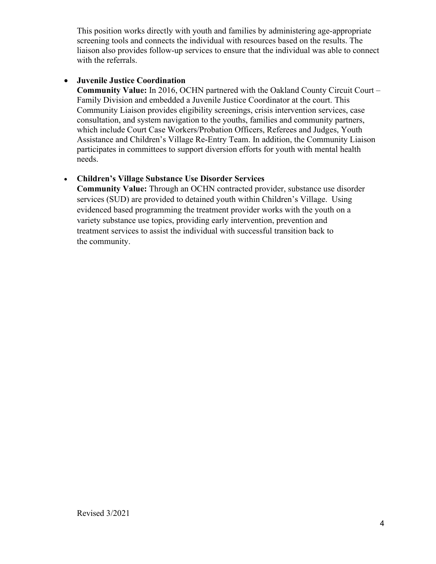This position works directly with youth and families by administering age-appropriate screening tools and connects the individual with resources based on the results. The liaison also provides follow-up services to ensure that the individual was able to connect with the referrals.

# • **Juvenile Justice Coordination**

**Community Value:** In 2016, OCHN partnered with the Oakland County Circuit Court – Family Division and embedded a Juvenile Justice Coordinator at the court. This Community Liaison provides eligibility screenings, crisis intervention services, case consultation, and system navigation to the youths, families and community partners, which include Court Case Workers/Probation Officers, Referees and Judges, Youth Assistance and Children's Village Re-Entry Team. In addition, the Community Liaison participates in committees to support diversion efforts for youth with mental health needs.

# • **Children's Village Substance Use Disorder Services**

**Community Value:** Through an OCHN contracted provider, substance use disorder services (SUD) are provided to detained youth within Children's Village. Using evidenced based programming the treatment provider works with the youth on a variety substance use topics, providing early intervention, prevention and treatment services to assist the individual with successful transition back to the community.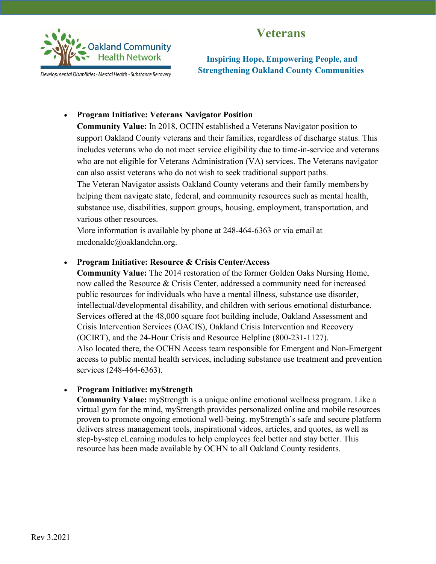# **Veterans**



Developmental Disabilities • Mental Health • Substance Recovery

**Inspiring Hope, Empowering People, and Strengthening Oakland County Communities**

### • **Program Initiative: Veterans Navigator Position**

**Community Value:** In 2018, OCHN established a Veterans Navigator position to support Oakland County veterans and their families, regardless of discharge status. This includes veterans who do not meet service eligibility due to time-in-service and veterans who are not eligible for Veterans Administration (VA) services. The Veterans navigator can also assist veterans who do not wish to seek traditional support paths.

The Veteran Navigator assists Oakland County veterans and their family membersby helping them navigate state, federal, and community resources such as mental health, substance use, disabilities, support groups, housing, employment, transportation, and various other resources.

More information is available by phone at 248-464-6363 or via email at [mcdonaldc@oaklandchn.org.](mailto:mcdonaldc@oaklandchn.org)

### • **Program Initiative: Resource & Crisis Center/Access**

**Community Value:** The 2014 restoration of the former Golden Oaks Nursing Home, now called the Resource & Crisis Center, addressed a community need for increased public resources for individuals who have a mental illness, substance use disorder, intellectual/developmental disability, and children with serious emotional disturbance. Services offered at the 48,000 square foot building include, Oakland Assessment and Crisis Intervention Services (OACIS), Oakland Crisis Intervention and Recovery (OCIRT), and the 24-Hour Crisis and Resource Helpline (800-231-1127). Also located there, the OCHN Access team responsible for Emergent and Non-Emergent access to public mental health services, including substance use treatment and prevention services (248-464-6363).

### • **Program Initiative: myStrength**

**Community Value:** myStrength is a unique online emotional wellness program. Like a virtual gym for the mind, myStrength provides personalized online and mobile resources proven to promote ongoing emotional well-being. myStrength's safe and secure platform delivers stress management tools, inspirational videos, articles, and quotes, as well as step-by-step eLearning modules to help employees feel better and stay better. This resource has been made available by OCHN to all Oakland County residents.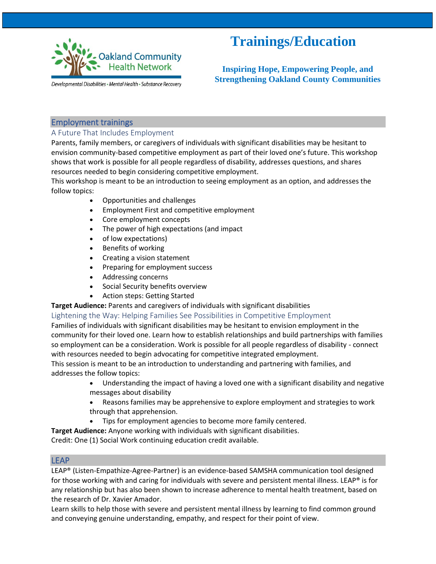

# **Trainings/Education**

 **Inspiring Hope, Empowering People, and Strengthening Oakland County Communities**

Developmental Disabilities - Mental Health - Substance Recovery

### Employment trainings

### A Future That Includes Employment

Parents, family members, or caregivers of individuals with significant disabilities may be hesitant to envision community-based competitive employment as part of their loved one's future. This workshop shows that work is possible for all people regardless of disability, addresses questions, and shares resources needed to begin considering competitive employment.

This workshop is meant to be an introduction to seeing employment as an option, and addresses the follow topics:

- Opportunities and challenges
- Employment First and competitive employment
- Core employment concepts
- The power of high expectations (and impact
- of low expectations)
- Benefits of working
- Creating a vision statement
- Preparing for employment success
- Addressing concerns
- Social Security benefits overview
- Action steps: Getting Started

**Target Audience:** Parents and caregivers of individuals with significant disabilities

#### Lightening the Way: Helping Families See Possibilities in Competitive Employment

Families of individuals with significant disabilities may be hesitant to envision employment in the community for their loved one. Learn how to establish relationships and build partnerships with families so employment can be a consideration. Work is possible for all people regardless of disability - connect with resources needed to begin advocating for competitive integrated employment.

This session is meant to be an introduction to understanding and partnering with families, and addresses the follow topics:

- Understanding the impact of having a loved one with a significant disability and negative messages about disability
- Reasons families may be apprehensive to explore employment and strategies to work through that apprehension.
- Tips for employment agencies to become more family centered.

**Target Audience:** Anyone working with individuals with significant disabilities.

Credit: One (1) Social Work continuing education credit available.

### LEAP

LEAP® (Listen-Empathize-Agree-Partner) is an evidence-based SAMSHA communication tool designed for those working with and caring for individuals with severe and persistent mental illness. LEAP® is for any relationship but has also been shown to increase adherence to mental health treatment, based on the research of Dr. Xavier Amador.

Learn skills to help those with severe and persistent mental illness by learning to find common ground and conveying genuine understanding, empathy, and respect for their point of view.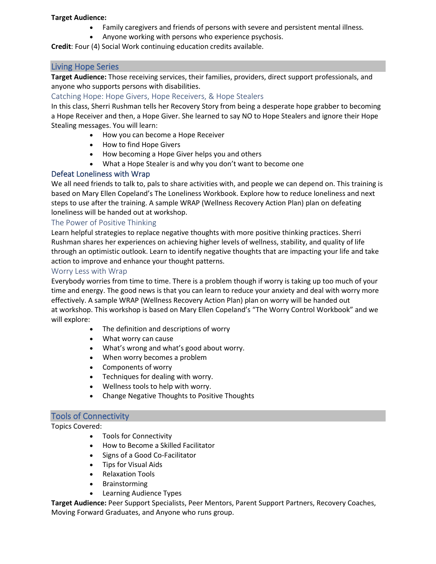#### **Target Audience:**

- Family caregivers and friends of persons with severe and persistent mental illness.
- Anyone working with persons who experience psychosis.

**Credit**: Four (4) Social Work continuing education credits available.

### Living Hope Series

**Target Audience:** Those receiving services, their families, providers, direct support professionals, and anyone who supports persons with disabilities.

### Catching Hope: Hope Givers, Hope Receivers, & Hope Stealers

In this class, Sherri Rushman tells her Recovery Story from being a desperate hope grabber to becoming a Hope Receiver and then, a Hope Giver. She learned to say NO to Hope Stealers and ignore their Hope Stealing messages. You will learn:

- How you can become a Hope Receiver
- How to find Hope Givers
- How becoming a Hope Giver helps you and others
- What a Hope Stealer is and why you don't want to become one

### Defeat Loneliness with Wrap

We all need friends to talk to, pals to share activities with, and people we can depend on. This training is based on Mary Ellen Copeland's The Loneliness Workbook. Explore how to reduce loneliness and next steps to use after the training. A sample WRAP (Wellness Recovery Action Plan) plan on defeating loneliness will be handed out at workshop.

#### The Power of Positive Thinking

Learn helpful strategies to replace negative thoughts with more positive thinking practices. Sherri Rushman shares her experiences on achieving higher levels of wellness, stability, and quality of life through an optimistic outlook. Learn to identify negative thoughts that are impacting your life and take action to improve and enhance your thought patterns.

#### Worry Less with Wrap

Everybody worries from time to time. There is a problem though if worry is taking up too much of your time and energy. The good news is that you can learn to reduce your anxiety and deal with worry more effectively. A sample WRAP (Wellness Recovery Action Plan) plan on worry will be handed out at workshop. This workshop is based on Mary Ellen Copeland's "The Worry Control Workbook" and we will explore:

- The definition and descriptions of worry
- What worry can cause
- What's wrong and what's good about worry.
- When worry becomes a problem
- Components of worry
- Techniques for dealing with worry.
- Wellness tools to help with worry.
- Change Negative Thoughts to Positive Thoughts

#### Tools of Connectivity

Topics Covered:

- Tools for Connectivity
- How to Become a Skilled Facilitator
- Signs of a Good Co-Facilitator
- Tips for Visual Aids
- Relaxation Tools
- Brainstorming
- Learning Audience Types

**Target Audience:** Peer Support Specialists, Peer Mentors, Parent Support Partners, Recovery Coaches, Moving Forward Graduates, and Anyone who runs group.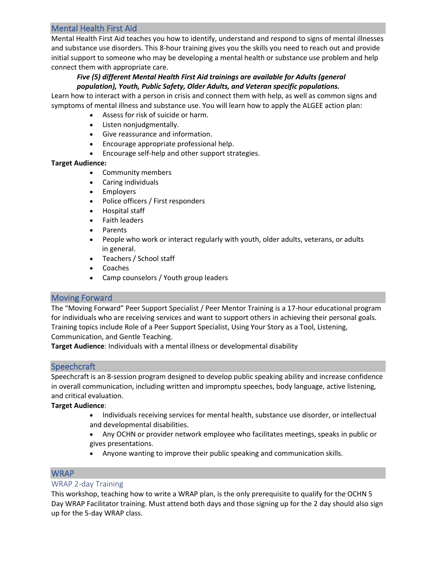# Mental Health First Aid

Mental Health First Aid teaches you how to identify, understand and respond to signs of mental illnesses and substance use disorders. This 8-hour training gives you the skills you need to reach out and provide initial support to someone who may be developing a mental health or substance use problem and help connect them with appropriate care.

### *Five (5) different Mental Health First Aid trainings are available for Adults (general population), Youth, Public Safety, Older Adults, and Veteran specific populations.*

Learn how to interact with a person in crisis and connect them with help, as well as common signs and symptoms of mental illness and substance use. You will learn how to apply the ALGEE action plan:

- Assess for risk of suicide or harm.
- Listen nonjudgmentally.
- Give reassurance and information.
- Encourage appropriate professional help.
- Encourage self-help and other support strategies.

### **Target Audience:**

- Community members
- Caring individuals
- Employers
- Police officers / First responders
- Hospital staff
- Faith leaders
- Parents
- People who work or interact regularly with youth, older adults, veterans, or adults in general.
- Teachers / School staff
- Coaches
- Camp counselors / Youth group leaders

# Moving Forward

The "Moving Forward" Peer Support Specialist / Peer Mentor Training is a 17-hour educational program for individuals who are receiving services and want to support others in achieving their personal goals. Training topics include Role of a Peer Support Specialist, Using Your Story as a Tool, Listening, Communication, and Gentle Teaching.

**Target Audience**: Individuals with a mental illness or developmental disability

# **Speechcraft**

Speechcraft is an 8-session program designed to develop public speaking ability and increase confidence in overall communication, including written and impromptu speeches, body language, active listening, and critical evaluation.

### **Target Audience**:

• Individuals receiving services for mental health, substance use disorder, or intellectual and developmental disabilities.

• Any OCHN or provider network employee who facilitates meetings, speaks in public or gives presentations.

• Anyone wanting to improve their public speaking and communication skills.

# **WRAP**

### WRAP 2-day Training

This workshop, teaching how to write a WRAP plan, is the only prerequisite to qualify for the OCHN 5 Day WRAP Facilitator training. Must attend both days and those signing up for the 2 day should also sign up for the 5-day WRAP class.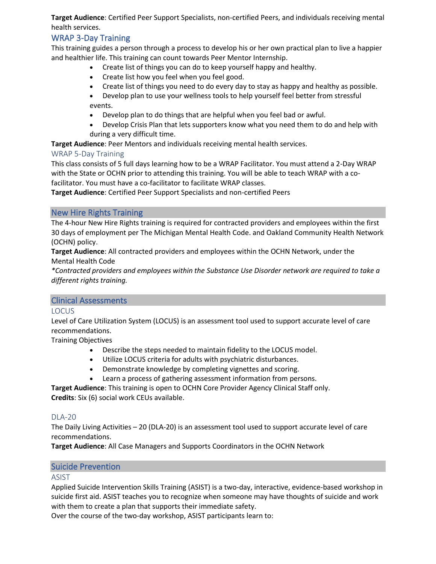**Target Audience**: Certified Peer Support Specialists, non-certified Peers, and individuals receiving mental health services.

# WRAP 3-Day Training

This training guides a person through a process to develop his or her own practical plan to live a happier and healthier life. This training can count towards Peer Mentor Internship.

- Create list of things you can do to keep yourself happy and healthy.
	- Create list how you feel when you feel good.
	- Create list of things you need to do every day to stay as happy and healthy as possible.
- Develop plan to use your wellness tools to help yourself feel better from stressful events.
- Develop plan to do things that are helpful when you feel bad or awful.
- Develop Crisis Plan that lets supporters know what you need them to do and help with during a very difficult time.

**Target Audience**: Peer Mentors and individuals receiving mental health services.

### WRAP 5-Day Training

This class consists of 5 full days learning how to be a WRAP Facilitator. You must attend a 2-Day WRAP with the State or OCHN prior to attending this training. You will be able to teach WRAP with a cofacilitator. You must have a co-facilitator to facilitate WRAP classes.

**Target Audience**: Certified Peer Support Specialists and non-certified Peers

### New Hire Rights Training

The 4-hour New Hire Rights training is required for contracted providers and employees within the first 30 days of employment per The Michigan Mental Health Code. and Oakland Community Health Network (OCHN) policy.

**Target Audience**: All contracted providers and employees within the OCHN Network, under the Mental Health Code

*\*Contracted providers and employees within the Substance Use Disorder network are required to take a different rights training.*

#### Clinical Assessments

#### LOCUS

Level of Care Utilization System (LOCUS) is an assessment tool used to support accurate level of care recommendations.

Training Objectives

- Describe the steps needed to maintain fidelity to the LOCUS model.
- Utilize LOCUS criteria for adults with psychiatric disturbances.
- Demonstrate knowledge by completing vignettes and scoring.
- Learn a process of gathering assessment information from persons.

**Target Audience**: This training is open to OCHN Core Provider Agency Clinical Staff only. **Credits**: Six (6) social work CEUs available.

#### DLA-20

The Daily Living Activities – 20 (DLA-20) is an assessment tool used to support accurate level of care recommendations.

**Target Audience**: All Case Managers and Supports Coordinators in the OCHN Network

### Suicide Prevention

#### ASIST

Applied Suicide Intervention Skills Training (ASIST) is a two-day, interactive, evidence-based workshop in suicide first aid. ASIST teaches you to recognize when someone may have thoughts of suicide and work with them to create a plan that supports their immediate safety.

Over the course of the two-day workshop, ASIST participants learn to: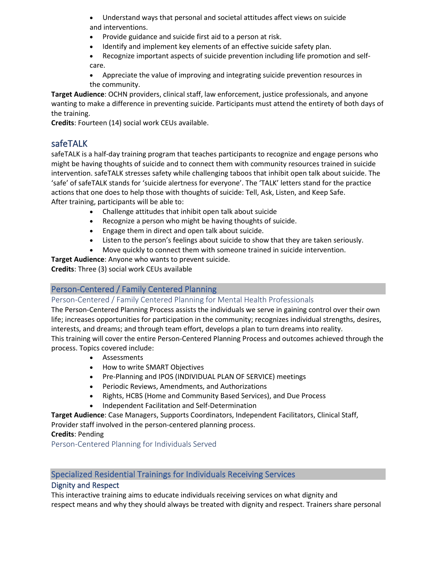- Understand ways that personal and societal attitudes affect views on suicide and interventions.
- Provide guidance and suicide first aid to a person at risk.
- Identify and implement key elements of an effective suicide safety plan.
- Recognize important aspects of suicide prevention including life promotion and selfcare.
- Appreciate the value of improving and integrating suicide prevention resources in the community.

**Target Audience**: OCHN providers, clinical staff, law enforcement, justice professionals, and anyone wanting to make a difference in preventing suicide. Participants must attend the entirety of both days of the training.

**Credits**: Fourteen (14) social work CEUs available.

# safeTALK

safeTALK is a half-day training program that teaches participants to recognize and engage persons who might be having thoughts of suicide and to connect them with community resources trained in suicide intervention. safeTALK stresses safety while challenging taboos that inhibit open talk about suicide. The 'safe' of safeTALK stands for 'suicide alertness for everyone'. The 'TALK' letters stand for the practice actions that one does to help those with thoughts of suicide: Tell, Ask, Listen, and Keep Safe. After training, participants will be able to:

- Challenge attitudes that inhibit open talk about suicide
- Recognize a person who might be having thoughts of suicide.
- Engage them in direct and open talk about suicide.
- Listen to the person's feelings about suicide to show that they are taken seriously.
- Move quickly to connect them with someone trained in suicide intervention.

**Target Audience**: Anyone who wants to prevent suicide.

**Credits**: Three (3) social work CEUs available

# Person-Centered / Family Centered Planning

### Person-Centered / Family Centered Planning for Mental Health Professionals

The Person-Centered Planning Process assists the individuals we serve in gaining control over their own life; increases opportunities for participation in the community; recognizes individual strengths, desires, interests, and dreams; and through team effort, develops a plan to turn dreams into reality.

This training will cover the entire Person-Centered Planning Process and outcomes achieved through the process. Topics covered include:

- Assessments
- How to write SMART Objectives
- Pre-Planning and IPOS (INDIVIDUAL PLAN OF SERVICE) meetings
- Periodic Reviews, Amendments, and Authorizations
- Rights, HCBS (Home and Community Based Services), and Due Process
	- Independent Facilitation and Self-Determination

**Target Audience**: Case Managers, Supports Coordinators, Independent Facilitators, Clinical Staff, Provider staff involved in the person-centered planning process.

### **Credits**: Pending

Person-Centered Planning for Individuals Served

# Specialized Residential Trainings for Individuals Receiving Services

# Dignity and Respect

This interactive training aims to educate individuals receiving services on what dignity and respect means and why they should always be treated with dignity and respect. Trainers share personal